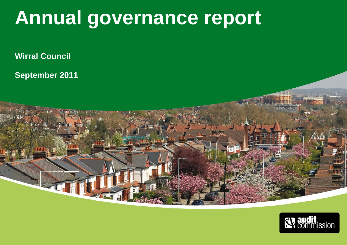### **Annual governance report**

**COLLEGE** 

**Wirral Council** 

**September 2011** 

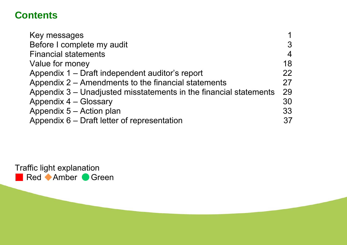### **Contents**

| Key messages                                                      |                |
|-------------------------------------------------------------------|----------------|
| Before I complete my audit                                        |                |
| <b>Financial statements</b>                                       | $\overline{4}$ |
| Value for money                                                   | 18             |
| Appendix 1 – Draft independent auditor's report                   | 22             |
| Appendix 2 – Amendments to the financial statements               | 27             |
| Appendix 3 – Unadjusted misstatements in the financial statements | 29             |
| Appendix 4 - Glossary                                             | 30             |
| Appendix 5 - Action plan                                          | 33             |
| Appendix 6 – Draft letter of representation                       | 37             |

Traffic light explanation Red Amber Green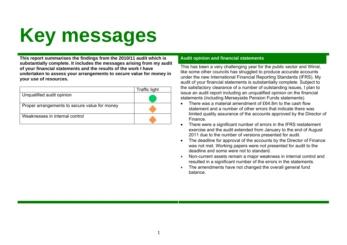# **Key messages**

**This report summarises the findings from the 2010/11 audit which is Audit opinion and financial statements substantially complete. It includes the messages arising from my audit of your financial statements and the results of the work I have undertaken to assess your arrangements to secure value for money in your use of resources.** 

|                                               | <b>Traffic light</b> |
|-----------------------------------------------|----------------------|
| Unqualified audit opinion                     |                      |
| Proper arrangements to secure value for money |                      |
| Weaknesses in internal control                |                      |

This has been a very challenging year for the public sector and Wirral, like some other councils has struggled to produce accurate accounts under the new International Financial Reporting Standards (IFRS). My audit of your financial statements is substantially complete. Subject to the satisfactory clearance of a number of outstanding issues, I plan to issue an audit report including an unqualified opinion on the financial statements (including Merseyside Pension Funds statements)

- There was a material amendment of £64.8m to the cash flow statement and a number of other errors that indicate there was limited quality assurance of the accounts approved by the Director of Finance.
- There were a significant number of errors in the IFRS restatement exercise and the audit extended from January to the end of August 2011 due to the number of versions presented for audit.
- The deadline for approval of the accounts by the Director of Finance was not met. Working papers were not presented for audit to the deadline and some were not to standard.
- Non-current assets remain a major weakness in internal control and resulted in a significant number of the errors in the statements.
- The amendments have not changed the overall general fund balance.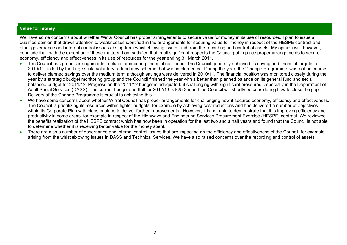#### **Value for money**

We have some concerns about whether Wirral Council has proper arrangements to secure value for money in its use of resources. I plan to issue a qualified opinion that draws attention to weaknesses identified in the arrangements for securing value for money in respect of the HESPE contract and other governance and internal control issues arising from whistleblowing issues and from the recording and control of assets. My opinion will, however, conclude that with the exception of these matters, I am satisfied that in all significant respects the Council put in place proper arrangements to secure economy, efficiency and effectiveness in its use of resources for the year ending 31 March 2011.

- • The Council has proper arrangements in place for securing financial resilience. The Council generally achieved its saving and financial targets in 2010/11, aided by the large scale voluntary redundancy scheme that was implemented. During the year, the 'Change Programme' was not on course to deliver planned savings over the medium term although savings were delivered in 2010/11. The financial position was monitored closely during the year by a strategic budget monitoring group and the Council finished the year with a better than planned balance on its general fund and set a balanced budget for 2011/12. Progress on the 2011/12 budget is adequate but challenging with significant pressures, especially in the Department of Adult Social Services (DASS). The current budget shortfall for 2012/13 is £25.3m and the Council will shortly be considering how to close the gap. Delivery of the Change Programme is crucial to achieving this.
- •We have some concerns about whether Wirral Council has proper arrangements for challenging how it secures economy, efficiency and effectiveness. The Council is prioritizing its resources within tighter budgets, for example by achieving cost reductions and has delivered a number of objectives within its Corporate Plan with plans in place to deliver further improvements. However, it is not able to demonstrate that it is improving efficiency and productivity in some areas, for example in respect of the Highways and Engineering Services Procurement Exercise (HESPE) contract. We reviewed the benefits realization of the HESPE contract which has now been in operation for the last two and a half years and found that the Council is not able to determine whether it is receiving better value for the money spent.
- • There are also a number of governance and internal control issues that are impacting on the efficiency and effectiveness of the Council, for example, arising from the whistleblowing issues in DASS and Technical Services. We have also raised concerns over the recording and control of assets.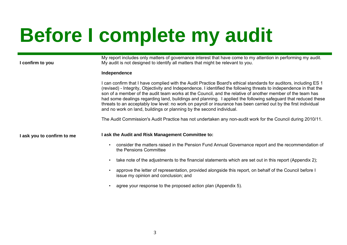# **Before I complete my audit**

#### **I confirm to you**

My report includes only matters of governance interest that have come to my attention in performing my audit. My audit is not designed to identify all matters that might be relevant to you.

#### **Independence**

I can confirm that I have complied with the Audit Practice Board's ethical standards for auditors, including ES 1 (revised) - Integrity, Objectivity and Independence. I identified the following threats to independence in that the son of a member of the audit team works at the Council, and the relative of another member of the team has had some dealings regarding land, buildings and planning. I applied the following safeguard that reduced these threats to an acceptably low level: no work on payroll or insurance has been carried out by the first individual and no work on land, buildings or planning by the second individual.

The Audit Commission's Audit Practice has not undertaken any non-audit work for the Council during 2010/11.

#### **I ask you to confirm to me**

#### **I ask the Audit and Risk Management Committee to:**

- consider the matters raised in the Pension Fund Annual Governance report and the recommendation of the Pensions Committee
- take note of the adjustments to the financial statements which are set out in this report (Appendix 2);
- approve the letter of representation, provided alongside this report, on behalf of the Council before I issue my opinion and conclusion; and
- agree your response to the proposed action plan (Appendix 5).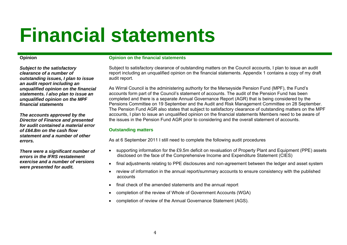## **Financial statements**

#### **Opinion**

*Subject to the satisfactory clearance of a number of outstanding issues, I plan to issue an audit report including an unqualified opinion on the financial statements. I also plan to issue an unqualified opinion on the MPF financial statements* 

*The accounts approved by the Director of Finance and presented for audit contained a material error of £64.8m on the cash flow statement and a number of other errors.* 

*There were a significant number of errors in the IFRS restatement exercise and a number of versions were presented for audit.* 

#### **Opinion on the financial statements**

Subject to satisfactory clearance of outstanding matters on the Council accounts, I plan to issue an audit report including an unqualified opinion on the financial statements. Appendix 1 contains a copy of my draft audit report.

As Wirral Council is the administering authority for the Merseyside Pension Fund (MPF), the Fund's accounts form part of the Council's statement of accounts. The audit of the Pension Fund has been completed and there is a separate Annual Governance Report (AGR) that is being considered by the Pensions Committee on 19 September and the Audit and Risk Management Committee on 28 September. The Pension Fund AGR also states that subject to satisfactory clearance of outstanding matters on the MPF accounts, I plan to issue an unqualified opinion on the financial statements Members need to be aware of the issues in the Pension Fund AGR prior to considering and the overall statement of accounts.

#### **Outstanding matters**

As at 6 September 2011 I still need to complete the following audit procedures

- supporting information for the £9.5m deficit on revaluation of Property Plant and Equipment (PPE) assets disclosed on the face of the Comprehensive Income and Expenditure Statement (CIES)
- final adjustments relating to PPE disclosures and non-agreement between the ledger and asset system
- review of information in the annual report/summary accounts to ensure consistency with the published accounts
- final check of the amended statements and the annual report
- completion of the review of Whole of Government Accounts (WGA)
- completion of review of the Annual Governance Statement (AGS).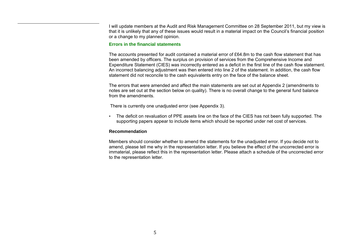I will update members at the Audit and Risk Management Committee on 28 September 2011, but my view is that it is unlikely that any of these issues would result in a material impact on the Council's financial position or a change to my planned opinion.

#### **Errors in the financial statements**

The accounts presented for audit contained a material error of £64.8m to the cash flow statement that has been amended by officers. The surplus on provision of services from the Comprehensive Income and Expenditure Statement (CIES) was incorrectly entered as a deficit in the first line of the cash flow statement. An incorrect balancing adjustment was then entered into line 2 of the statement. In addition, the cash flow statement did not reconcile to the cash equivalents entry on the face of the balance sheet.

The errors that were amended and affect the main statements are set out at Appendix 2 (amendments to notes are set out at the section below on quality). There is no overall change to the general fund balance from the amendments.

There is currently one unadjusted error (see Appendix 3).

• The deficit on revaluation of PPE assets line on the face of the CIES has not been fully supported. The supporting papers appear to include items which should be reported under net cost of services.

#### **Recommendation**

Members should consider whether to amend the statements for the unadjusted error. If you decide not to amend, please tell me why in the representation letter. If you believe the effect of the uncorrected error is immaterial, please reflect this in the representation letter. Please attach a schedule of the uncorrected error to the representation letter.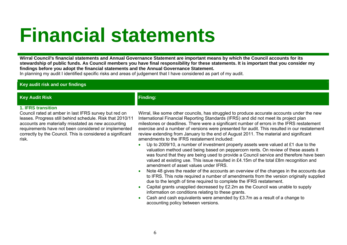### **Financial statements**

**Wirral Council's financial statements and Annual Governance Statement are important means by which the Council accounts for its stewardship of public funds. As Council members you have final responsibility for these statements. It is important that you consider my findings before you adopt the financial statements and the Annual Governance Statement.** 

In planning my audit I identified specific risks and areas of judgement that I have considered as part of my audit.

**Key audit risk and our findings** 

#### **Key Audit Risk Finding: Finding:**

#### **1. IFRS transition**

Council rated at amber in last IFRS survey but red on leases. Progress still behind schedule. Risk that 2010/11 accounts are materially misstated as new accounting requirements have not been considered or implemented correctly by the Council. This is considered a significant risk.

Wirral, like some other councils, has struggled to produce accurate accounts under the new International Financial Reporting Standards (IFRS) and did not meet its project plan milestones or deadlines. There were a significant number of errors in the IFRS restatement exercise and a number of versions were presented for audit. This resulted in our restatement review extending from January to the end of August 2011. The material and significant amendments to the IFRS restatement included:

- •Up to 2009/10, a number of investment property assets were valued at  $£1$  due to the valuation method used being based on peppercorn rents. On review of these assets it was found that they are being used to provide a Council service and therefore have been valued at existing use. This issue resulted in £4.15m of the total £8m recognition and amendment of asset values under IFRS.
- • Note 48 gives the reader of the accounts an overview of the changes in the accounts due to IFRS. This note required a number of amendments from the version originally supplied due to the length of time required to complete the IFRS restatement.
- • Capital grants unapplied decreased by £2.2m as the Council was unable to supply information on conditions relating to these grants.
- • Cash and cash equivalents were amended by £3.7m as a result of a change to accounting policy between versions.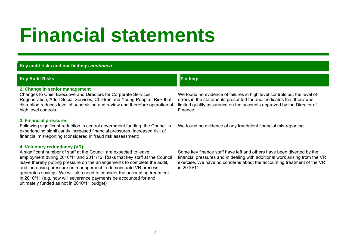### **Financial statements**

#### **Key audit risks and our findings continued**

**4. Voluntary redundancy (VR)** 

ultimately funded as not in 2010/11 budget)

A significant number of staff at the Council are expected to leave

in 2010/11 (e.g. how will severance payments be accounted for and

employment during 2010/11 and 2011/12. Risks that key staff at the Council leave thereby putting pressure on the arrangements to complete the audit, and increasing pressure on management to demonstrate VR process generates savings. We will also need to consider the accounting treatment

#### **Key Audit Risks Finding:** Finding: The Contract of the Contract of the Contract of Tensors of Tensors of Tensors I **2. Change in senior management**  Changes to Chief Executive and Directors for Corporate Services, Regeneration, Adult Social Services, Children and Young People. Risk that disruption reduces level of supervision and review and therefore operation of high level controls**.**  We found no evidence of failures in high level controls but the level of errors in the statements presented for audit indicates that there was limited quality assurance on the accounts approved by the Director of Finance. **3. Financial pressures** Following significant reduction in central government funding, the Council is experiencing significantly increased financial pressures. Increased risk of financial misreporting (considered in fraud risk assessment) We found no evidence of any fraudulent financial mis-reporting.

#### Some key finance staff have left and others have been diverted by the financial pressures and in dealing with additional work arising from the VR exercise. We have no concerns about the accounting treatment of the VR in 2010/11.

7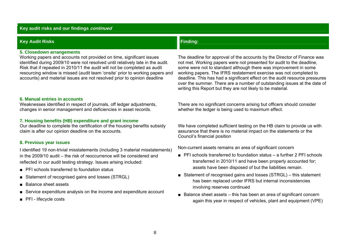#### **Key audit risks and our findings continued**

#### **Key Audit Risks Finding:**<br> **Key Audit Risks**

#### **5. Closedown arrangements**

Working papers and accounts not provided on time, significant issues identified during 2009/10 were not resolved until relatively late in the audit. Risk that if repeated in 2010/11 the audit will not be completed as audit resourcing window is missed (audit team 'onsite' prior to working papers and accounts) and material issues are not resolved prior to opinion deadline

#### **6. Manual entries in accounts**

Weaknesses identified in respect of journals, off ledger adjustments, changes in senior management and deficiencies in asset records.

#### **7. Housing benefits (HB) expenditure and grant income**

Our deadline to complete the certification of the housing benefits subsidy claim is after our opinion deadline on the accounts.

#### **8. Previous year issues**

I identified 19 non-trivial misstatements (including 3 material misstatements) in the 2009/10 audit – the risk of reoccurrence will be considered and reflected in our audit testing strategy. Issues arising included:

- PFI schools transferred to foundation status
- Statement of recognised gains and losses (STRGL)
- Balance sheet assets
- Service expenditure analysis on the income and expenditure account
- PFI lifecycle costs

The deadline for approval of the accounts by the Director of Finance was not met. Working papers were not presented for audit to the deadline, some were not to standard although there was improvement in some working papers. The IFRS restatement exercise was not completed to deadline. This has had a significant effect on the audit resource pressures over the summer. There are a number of outstanding issues at the date of writing this Report but they are not likely to be material.

There are no significant concerns arising but officers should consider whether the ledger is being used to maximum effect.

We have completed sufficient testing on the HB claim to provide us with assurance that there is no material impact on the statements or the Council's financial position

Non-current assets remains an area of significant concern

- PFI schools transferred to foundation status a further 2 PFI schools transferred in 2010/11 and have been properly accounted for; assets have been disposed of but the liabilities remain.
- Statement of recognised gains and losses (STRGL) this statement has been replaced under IFRS but internal inconsistencies involving reserves continued
- Balance sheet assets this has been an area of significant concern again this year in respect of vehicles, plant and equipment (VPE)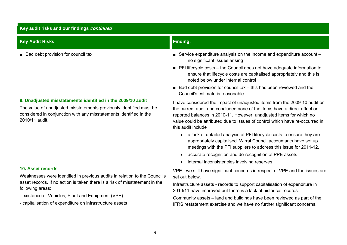#### **Key audit risks and our findings continued**

| <b>Key Audit Risks</b>                                                                                                                                                                                                     | <b>Finding:</b>                                                                                                                                                                                                                                                                                                                       |
|----------------------------------------------------------------------------------------------------------------------------------------------------------------------------------------------------------------------------|---------------------------------------------------------------------------------------------------------------------------------------------------------------------------------------------------------------------------------------------------------------------------------------------------------------------------------------|
| ■ Bad debt provision for council tax.                                                                                                                                                                                      | Service expenditure analysis on the income and expenditure account -<br>no significant issues arising                                                                                                                                                                                                                                 |
|                                                                                                                                                                                                                            | • PFI lifecycle costs – the Council does not have adequate information to<br>ensure that lifecycle costs are capitalised appropriately and this is<br>noted below under internal control                                                                                                                                              |
|                                                                                                                                                                                                                            | $\blacksquare$ Bad debt provision for council tax – this has been reviewed and the<br>Council's estimate is reasonable.                                                                                                                                                                                                               |
| 9. Unadjusted misstatements identified in the 2009/10 audit<br>The value of unadjusted misstatements previously identified must be<br>considered in conjunction with any misstatements identified in the<br>2010/11 audit. | I have considered the impact of unadjusted items from the 2009-10 audit on<br>the current audit and concluded none of the items have a direct affect on<br>reported balances in 2010-11. However, unadjusted items for which no<br>value could be attributed due to issues of control which have re-occurred in<br>this audit include |
|                                                                                                                                                                                                                            | a lack of detailed analysis of PFI lifecycle costs to ensure they are<br>$\bullet$<br>appropriately capitalised. Wirral Council accountants have set up<br>meetings with the PFI suppliers to address this issue for 2011-12.<br>accurate recognition and de-recognition of PPE assets                                                |

set out below.

• internal inconsistencies involving reserves

VPE - we still have significant concerns in respect of VPE and the issues are

Infrastructure assets - records to support capitalisation of expenditure in

Community assets – land and buildings have been reviewed as part of the IFRS restatement exercise and we have no further significant concerns.

2010/11 have improved but there is a lack of historical records.

#### **10. Asset records**

Weaknesses were identified in previous audits in relation to the Council's asset records. If no action is taken there is a risk of misstatement in the following areas:

- existence of Vehicles, Plant and Equipment (VPE)
- capitalisation of expenditure on infrastructure assets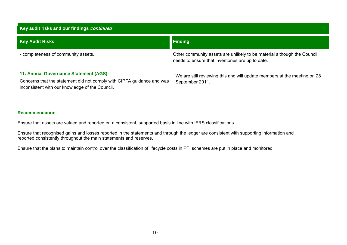| Key audit risks and our findings continued |                                                                                                                             |  |  |  |  |  |
|--------------------------------------------|-----------------------------------------------------------------------------------------------------------------------------|--|--|--|--|--|
| <b>Key Audit Risks</b>                     | <b>Finding:</b>                                                                                                             |  |  |  |  |  |
| - completeness of community assets.        | Other community assets are unlikely to be material although the Council<br>needs to ensure that inventories are up to date. |  |  |  |  |  |
| 11. Annual Governance Statement (AGS)      | We are still reviewing this and will update members at the meeting on 28                                                    |  |  |  |  |  |

Concerns that the statement did not comply with CIPFA guidance and was inconsistent with our knowledge of the Council.

September 2011.

#### **Recommendation**

Ensure that assets are valued and reported on a consistent, supported basis in line with IFRS classifications.

Ensure that recognised gains and losses reported in the statements and through the ledger are consistent with supporting information and reported consistently throughout the main statements and reserves.

Ensure that the plans to maintain control over the classification of lifecycle costs in PFI schemes are put in place and monitored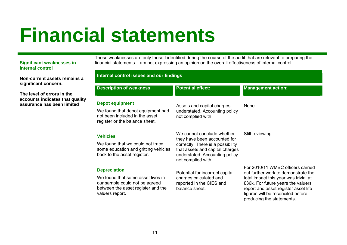## **Financial statements**

#### **Significant weaknesses in internal control**

**Non-current assets remains significant concern.** 

**The level of errors in the accounts indicates that qual assurance has been limited** 

These weaknesses are only those I identified during the course of the audit that are relevant to preparing the financial statements. I am not expressing an opinion on the overall effectiveness of internal control.

|      | <b>Internal control issues and our findings</b>                                                                              |                                                                                                                              |                                                                                                                                                                                       |  |  |
|------|------------------------------------------------------------------------------------------------------------------------------|------------------------------------------------------------------------------------------------------------------------------|---------------------------------------------------------------------------------------------------------------------------------------------------------------------------------------|--|--|
|      | <b>Description of weakness</b>                                                                                               | <b>Potential effect:</b>                                                                                                     | <b>Management action:</b>                                                                                                                                                             |  |  |
| lity | <b>Depot equipment</b>                                                                                                       | Assets and capital charges                                                                                                   | None.                                                                                                                                                                                 |  |  |
|      | We found that depot equipment had<br>not been included in the asset<br>register or the balance sheet.                        | understated. Accounting policy<br>not complied with.                                                                         |                                                                                                                                                                                       |  |  |
|      | <b>Vehicles</b>                                                                                                              | We cannot conclude whether<br>they have been accounted for                                                                   | Still reviewing.                                                                                                                                                                      |  |  |
|      | We found that we could not trace<br>some education and gritting vehicles<br>back to the asset register.                      | correctly. There is a possibility<br>that assets and capital charges<br>understated. Accounting policy<br>not complied with. |                                                                                                                                                                                       |  |  |
|      | <b>Depreciation</b>                                                                                                          | Potential for incorrect capital                                                                                              | For 2010/11 WMBC officers carried<br>out further work to demonstrate the                                                                                                              |  |  |
|      | We found that some asset lives in<br>our sample could not be agreed<br>between the asset register and the<br>valuers report. | charges calculated and<br>reported in the CIES and<br>balance sheet.                                                         | total impact this year was trivial at<br>£36k. For future years the valuers<br>report and asset register asset life<br>figures will be reconciled before<br>producing the statements. |  |  |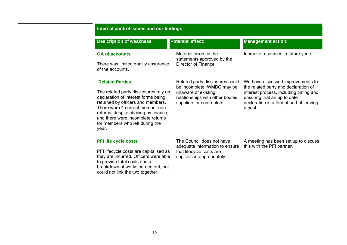#### **Internal control issues and our findings**

| <b>Des cription of weakness</b>                                                                                                                                                                                                                                               | <b>Potential effect:</b>                                                             | <b>Management action:</b>                                                                                                   |
|-------------------------------------------------------------------------------------------------------------------------------------------------------------------------------------------------------------------------------------------------------------------------------|--------------------------------------------------------------------------------------|-----------------------------------------------------------------------------------------------------------------------------|
| <b>QA of accounts</b><br>There was limited quality assurance                                                                                                                                                                                                                  | Material errors in the<br>statements approved by the<br>Director of Finance          | Increase resources in future years.                                                                                         |
| of the accounts.                                                                                                                                                                                                                                                              |                                                                                      |                                                                                                                             |
| <b>Related Parties</b>                                                                                                                                                                                                                                                        | Related party disclosures could<br>be incomplete. WMBC may be                        | We have discussed improvements to<br>the related party and declaration of                                                   |
| The related party disclosures rely on<br>declaration of interest forms being<br>returned by officers and members.<br>There were 4 current member non<br>returns, despite chasing by finance,<br>and there were incomplete returns<br>for members who left during the<br>year. | unaware of existing<br>relationships with other bodies,<br>suppliers or contractors. | interest process, including timing and<br>ensuring that an up to date<br>declaration is a formal part of leaving<br>a post. |
| <b>PFI life cycle costs</b>                                                                                                                                                                                                                                                   | The Council does not have<br>adequate information to ensure                          | A meeting has been set up to discuss<br>this with the PFI partner.                                                          |

PFI lifecycle costs are capitalised as they are incurred. Officers were able to provide total costs and a breakdown of works carried out, but could not link the two together.

adequate information to ensure that lifecycle costs are capitalised appropriately.

this with the PFI partner.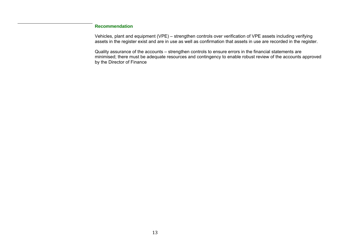#### **Recommendation**

Vehicles, plant and equipment (VPE) – strengthen controls over verification of VPE assets including verifying assets in the register exist and are in use as well as confirmation that assets in use are recorded in the register.

Quality assurance of the accounts – strengthen controls to ensure errors in the financial statements are minimised; there must be adequate resources and contingency to enable robust review of the accounts approved by the Director of Finance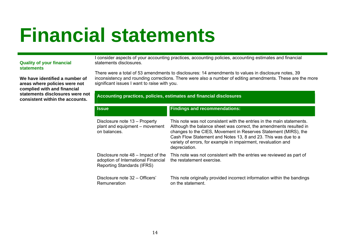### **Financial statements**

#### **Quality of your financial statements**

**We have identified a number of areas where policies were not complied with and financial statements disclosures were not consistent within the accounts.**

I consider aspects of your accounting practices, accounting policies, accounting estimates and financial statements disclosures.

There were a total of 53 amendments to disclosures: 14 amendments to values in disclosure notes, 39 inconsistency and rounding corrections. There were also a number of editing amendments. These are the more significant issues I want to raise with you.

#### **Accounting practices, policies, estimates and financial disclosures**

| <b>Issue</b>                                                                                                   | <b>Findings and recommendations:</b>                                                                                                                                                                                                                                                                                                                              |
|----------------------------------------------------------------------------------------------------------------|-------------------------------------------------------------------------------------------------------------------------------------------------------------------------------------------------------------------------------------------------------------------------------------------------------------------------------------------------------------------|
| Disclosure note 13 - Property<br>plant and equipment – movement<br>on balances.                                | This note was not consistent with the entries in the main statements.<br>Although the balance sheet was correct, the amendments resulted in<br>changes to the CIES, Movement in Reserves Statement (MIRS), the<br>Cash Flow Statement and Notes 13, 8 and 23. This was due to a<br>variety of errors, for example in impairment, revaluation and<br>depreciation. |
| Disclosure note 48 – Impact of the<br>adoption of International Financial<br><b>Reporting Standards (IFRS)</b> | This note was not consistent with the entries we reviewed as part of<br>the restatement exercise.                                                                                                                                                                                                                                                                 |
| Disclosure note 32 – Officers'<br>Remuneration                                                                 | This note originally provided incorrect information within the bandings<br>on the statement.                                                                                                                                                                                                                                                                      |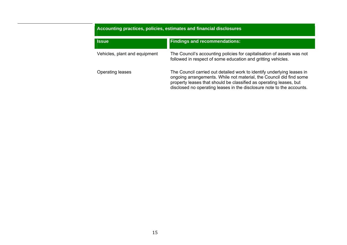### **Accounting practices, policies, estimates and financial disclosures IssueFindings and recommendations:**

Vehicles, plant and equipment The Council's accounting policies for capitalisation of assets was not followed in respect of some education and gritting vehicles.

Operating leases The Council carried out detailed work to identify underlying leases in ongoing arrangements. While not material, the Council did find some property leases that should be classified as operating leases, but disclosed no operating leases in the disclosure note to the accounts.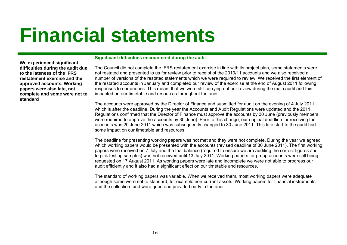### **Financial statements**

**We experienced significant difficulties during the audit due to the lateness of the IFRS restatement exercise and the approved accounts. Working papers were also late, not complete and some were not to standard** 

#### **Significant difficulties encountered during the audit**

The Council did not complete the IFRS restatement exercise in line with its project plan, some statements were not restated and presented to us for review prior to receipt of the 2010/11 accounts and we also received a number of versions of the restated statements which we were required to review. We received the first element of the restated accounts in January and completed our review of the exercise at the end of August 2011 following responses to our queries. This meant that we were still carrying out our review during the main audit and this impacted on our timetable and resources throughout the audit.

The accounts were approved by the Director of Finance and submitted for audit on the evening of 4 July 2011 which is after the deadline. During the year the Accounts and Audit Regulations were updated and the 2011 Regulations confirmed that the Director of Finance must approve the accounts by 30 June (previously members were required to approve the accounts by 30 June). Prior to this change, our original deadline for receiving the accounts was 20 June 2011 which was subsequently changed to 30 June 2011. This late start to the audit had some impact on our timetable and resources.

The deadline for presenting working papers was not met and they were not complete. During the year we agreed which working papers would be presented with the accounts (revised deadline of 30 June 2011). The first working papers were received on 7 July and the trial balance (required to ensure we are auditing the correct figures and to pick testing samples) was not received until 13 July 2011. Working papers for group accounts were still being requested on 17 August 2011. As working papers were late and incomplete we were not able to progress our audit efficiently and it also had a significant effect on our timetable and resources.

The standard of working papers was variable. When we received them, most working papers were adequate although some were not to standard, for example non-current assets. Working papers for financial instruments and the collection fund were good and provided early in the audit.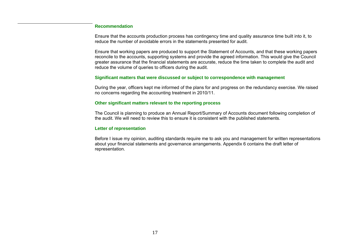#### **Recommendation**

Ensure that the accounts production process has contingency time and quality assurance time built into it, to reduce the number of avoidable errors in the statements presented for audit.

Ensure that working papers are produced to support the Statement of Accounts, and that these working papers reconcile to the accounts, supporting systems and provide the agreed information. This would give the Council greater assurance that the financial statements are accurate, reduce the time taken to complete the audit and reduce the volume of queries to officers during the audit.

#### **Significant matters that were discussed or subject to correspondence with management**

During the year, officers kept me informed of the plans for and progress on the redundancy exercise. We raised no concerns regarding the accounting treatment in 2010/11.

#### **Other significant matters relevant to the reporting process**

The Council is planning to produce an Annual Report/Summary of Accounts document following completion of the audit. We will need to review this to ensure it is consistent with the published statements.

#### **Letter of representation**

Before I issue my opinion, auditing standards require me to ask you and management for written representations about your financial statements and governance arrangements. Appendix 6 contains the draft letter of representation.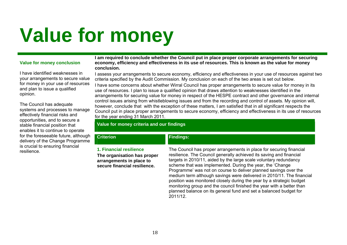# **Value for money**

#### **Value for money conclusion**

I have identified weaknesses in your arrangements to secure value for money in your use of resources and plan to issue a qualified opinion.

The Council has adequate systems and processes to manage effectively financial risks and opportunities, and to secure a stable financial position that enables it to continue to operate for the foreseeable future, although delivery of the Change Programme is crucial to ensuring financial resilience.

#### **I am required to conclude whether the Council put in place proper corporate arrangements for securing economy, efficiency and effectiveness in its use of resources. This is known as the value for money conclusion.**

I assess your arrangements to secure economy, efficiency and effectiveness in your use of resources against two criteria specified by the Audit Commission. My conclusion on each of the two areas is set out below.

I have some concerns about whether Wirral Council has proper arrangements to secure value for money in its use of resources. I plan to issue a qualified opinion that draws attention to weaknesses identified in the arrangements for securing value for money in respect of the HESPE contract and other governance and internal control issues arising from whistleblowing issues and from the recording and control of assets. My opinion will, however, conclude that with the exception of these matters, I am satisfied that in all significant respects the Council put in place proper arrangements to secure economy, efficiency and effectiveness in its use of resources for the year ending 31 March 2011.

#### **Value for money criteria and our findings**

#### **Findings:**

**1. Financial resilience** 

**Criterion**

**The organisation has proper arrangements in place to secure financial resilience.** 

The Council has proper arrangements in place for securing financial resilience. The Council generally achieved its saving and financial targets in 2010/11, aided by the large scale voluntary redundancy scheme that was implemented. During the year, the 'Change Programme' was not on course to deliver planned savings over the medium term although savings were delivered in 2010/11. The financial position was monitored closely during the year by a strategic budget monitoring group and the council finished the year with a better than planned balance on its general fund and set a balanced budget for 2011/12.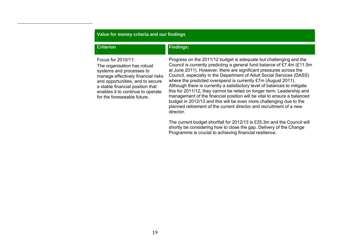#### **Value for money criteria and our findings**

#### **Criterion**

#### **Findings:**

Focus for 2010/11:

The organisation has robust systems and processes to manage effectively financial risks and opportunities, and to secure a stable financial position that enables it to continue to operate for the foreseeable future.

Progress on the 2011/12 budget is adequate but challenging and the Council is currently predicting a general fund balance of £7.4m (£11.5m at June 2011). However, there are significant pressures across the Council, especially in the Department of Adult Social Services (DASS) where the predicted overspend is currently £7m (August 2011). Although there is currently a satisfactory level of balances to mitigate this for 2011/12, they cannot be relied on longer term. Leadership and management of the financial position will be vital to ensure a balanced budget in 2012/13 and this will be even more challenging due to the planned retirement of the current director and recruitment of a new director.

The current budget shortfall for 2012/13 is £25.3m and the Council will shortly be considering how to close the gap. Delivery of the Change Programme is crucial to achieving financial resilience.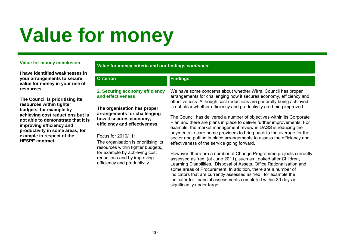# **Value for money**

#### **Value for money conclusion**

**I have identified weaknesses in your arrangements to secure value for money in your use of resources.** 

**The Council is prioritising its resources within tighter budgets, for example by achieving cost reductions but is not able to demonstrate that it is improving efficiency and productivity in some areas, for example in respect of the HESPE contract.** 

#### **Value for money criteria and our findings** *continued*

**Findings:** 

### **Criterion**

#### **2. Securing economy efficiency and effectiveness**

**The organisation has proper arrangements for challenging how it secures economy, efficiency and effectiveness.** 

#### Focus for 2010/11:

The organisation is prioritising its resources within tighter budgets, for example by achieving cost reductions and by improving efficiency and productivity.

We have some concerns about whether Wirral Council has proper arrangements for challenging how it secures economy, efficiency and effectiveness. Although cost reductions are generally being achieved it is not clear whether efficiency and productivity are being improved.

The Council has delivered a number of objectives within its Corporate Plan and there are plans in place to deliver further improvements. For example, the market management review in DASS is reducing the payments to care home providers to bring back to the average for the sector and putting in place arrangements to assess the efficiency and effectiveness of the service going forward.

However, there are a number of Change Programme projects currently assessed as 'red' (at June 2011), such as Looked after Children, Learning Disabilities, Disposal of Assets, Office Rationalisation and some areas of Procurement. In addition, there are a number of indicators that are currently assessed as 'red', for example the indicator for financial assessments completed within 30 days is significantly under target.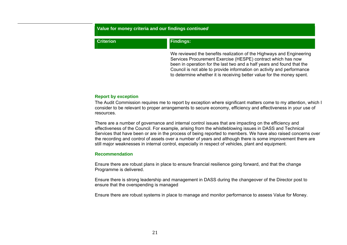#### **Value for money criteria and our findings** *continued*

#### **CriterionFindings:**

We reviewed the benefits realization of the Highways and Engineering Services Procurement Exercise (HESPE) contract which has now been in operation for the last two and a half years and found that the Council is not able to provide information on activity and performance to determine whether it is receiving better value for the money spent.

#### **Report by exception**

The Audit Commission requires me to report by exception where significant matters come to my attention, which I consider to be relevant to proper arrangements to secure economy, efficiency and effectiveness in your use of resources.

There are a number of governance and internal control issues that are impacting on the efficiency and effectiveness of the Council. For example, arising from the whistleblowing issues in DASS and Technical Services that have been or are in the process of being reported to members. We have also raised concerns over the recording and control of assets over a number of years and although there is some improvement there are still major weaknesses in internal control, especially in respect of vehicles, plant and equipment.

#### **Recommendation**

Ensure there are robust plans in place to ensure financial resilience going forward, and that the change Programme is delivered.

Ensure there is strong leadership and management in DASS during the changeover of the Director post to ensure that the overspending is managed

Ensure there are robust systems in place to manage and monitor performance to assess Value for Money.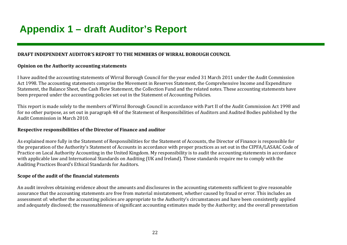### **Appendix 1 – draft Auditor's Report**

#### **DRAFT INDEPENDENT AUDITOR'S REPORT TO THE MEMBERS OF WIRRAL BOROUGH COUNCIL**

#### **Opinion on the Authority accounting statements**

I have audited the accounting statements of Wirral Borough Council for the year ended 31 March 2011 under the Audit Commission Act 1998. The accounting statements comprise the Movement in Reserves Statement, the Comprehensive Income and Expenditure Statement, the Balance Sheet, the Cash Flow Statement, the Collection Fund and the related notes. These accounting statements have been prepared under the accounting policies set out in the Statement of Accounting Policies.

This report is made solely to the members of Wirral Borough Council in accordance with Part II of the Audit Commission Act 1998 and for no other purpose, as set out in paragraph 48 of the Statement of Responsibilities of Auditors and Audited Bodies published by the Audit Commission in March 2010.

#### **Respective responsibilities of the Director of Finance and auditor**

As explained more fully in the Statement of Responsibilities for the Statement of Accounts, the Director of Finance is responsible for the preparation of the Authority's Statement of Accounts in accordance with proper practices as set out in the CIPFA/LASAAC Code of Practice on Local Authority Accounting in the United Kingdom. My responsibility is to audit the accounting statements in accordance with applicable law and International Standards on Auditing (UK and Ireland). Those standards require me to comply with the Auditing Practices Board's Ethical Standards for Auditors.

#### **Scope of the audit of the financial statements**

An audit involves obtaining evidence about the amounts and disclosures in the accounting statements sufficient to give reasonable assurance that the accounting statements are free from material misstatement, whether caused by fraud or error. This includes an assessment of: whether the accounting policies are appropriate to the Authority's circumstances and have been consistently applied and adequately disclosed; the reasonableness of significant accounting estimates made by the Authority; and the overall presentation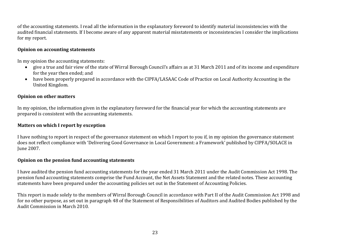of the accounting statements. I read all the information in the explanatory foreword to identify material inconsistencies with the audited financial statements. If I become aware of any apparent material misstatements or inconsistencies I consider the implications for my report.

#### **Opinion on accounting statements**

In my opinion the accounting statements:

- give a true and fair view of the state of Wirral Borough Council's affairs as at 31 March 2011 and of its income and expenditure for the year then ended; and
- have been properly prepared in accordance with the CIPFA/LASAAC Code of Practice on Local Authority Accounting in the United Kingdom.

#### **Opinion on other matters**

In my opinion, the information given in the explanatory foreword for the financial year for which the accounting statements are prepared is consistent with the accounting statements.

#### **Matters on which I report by exception**

I have nothing to report in respect of the governance statement on which I report to you if, in my opinion the governance statement does not reflect compliance with 'Delivering Good Governance in Local Government: a Framework' published by CIPFA/SOLACE in June 2007.

#### **Opinion on the pension fund accounting statements**

I have audited the pension fund accounting statements for the year ended 31 March 2011 under the Audit Commission Act 1998. The pension fund accounting statements comprise the Fund Account, the Net Assets Statement and the related notes. These accounting statements have been prepared under the accounting policies set out in the Statement of Accounting Policies.

This report is made solely to the members of Wirral Borough Council in accordance with Part II of the Audit Commission Act 1998 and for no other purpose, as set out in paragraph 48 of the Statement of Responsibilities of Auditors and Audited Bodies published by the Audit Commission in March 2010.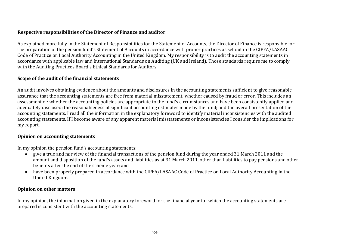#### **Respective responsibilities of the Director of Finance and auditor**

As explained more fully in the Statement of Responsibilities for the Statement of Accounts, the Director of Finance is responsible for the preparation of the pension fund's Statement of Accounts in accordance with proper practices as set out in the CIPFA/LASAAC Code of Practice on Local Authority Accounting in the United Kingdom. My responsibility is to audit the accounting statements in accordance with applicable law and International Standards on Auditing (UK and Ireland). Those standards require me to comply with the Auditing Practices Board's Ethical Standards for Auditors.

#### **Scope of the audit of the financial statements**

An audit involves obtaining evidence about the amounts and disclosures in the accounting statements sufficient to give reasonable assurance that the accounting statements are free from material misstatement, whether caused by fraud or error. This includes an assessment of: whether the accounting policies are appropriate to the fund's circumstances and have been consistently applied and adequately disclosed; the reasonableness of significant accounting estimates made by the fund; and the overall presentation of the accounting statements. I read all the information in the explanatory foreword to identify material inconsistencies with the audited accounting statements. If I become aware of any apparent material misstatements or inconsistencies I consider the implications for my report.

#### **Opinion on accounting statements**

In my opinion the pension fund's accounting statements:

- $\bullet$  give a true and fair view of the financial transactions of the pension fund during the year ended 31 March 2011 and the amount and disposition of the fund's assets and liabilities as at 31 March 2011, other than liabilities to pay pensions and other benefits after the end of the scheme year; and
- have been properly prepared in accordance with the CIPFA/LASAAC Code of Practice on Local Authority Accounting in the United Kingdom.

#### **Opinion on other matters**

In my opinion, the information given in the explanatory foreword for the financial year for which the accounting statements are prepared is consistent with the accounting statements.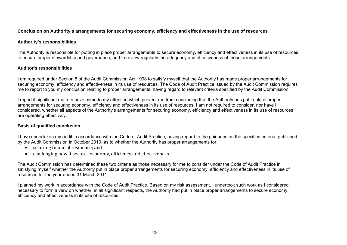#### **Conclusion on Authority's arrangements for securing economy, efficiency and effectiveness in the use of resources**

#### **Authority's responsibilities**

The Authority is responsible for putting in place proper arrangements to secure economy, efficiency and effectiveness in its use of resources, to ensure proper stewardship and governance, and to review regularly the adequacy and effectiveness of these arrangements.

#### **Auditor's responsibilities**

I am required under Section 5 of the Audit Commission Act 1998 to satisfy myself that the Authority has made proper arrangements for securing economy, efficiency and effectiveness in its use of resources. The Code of Audit Practice issued by the Audit Commission requires me to report to you my conclusion relating to proper arrangements, having regard to relevant criteria specified by the Audit Commission.

I report if significant matters have come to my attention which prevent me from concluding that the Authority has put in place proper arrangements for securing economy, efficiency and effectiveness in its use of resources. I am not required to consider, nor have I considered, whether all aspects of the Authority's arrangements for securing economy, efficiency and effectiveness in its use of resources are operating effectively.

#### **Basis of qualified conclusion**

I have undertaken my audit in accordance with the Code of Audit Practice, having regard to the guidance on the specified criteria, published by the Audit Commission in October 2010, as to whether the Authority has proper arrangements for:

- securing financial resilience; and
- challenging how it secures economy, efficiency and effectiveness.

The Audit Commission has determined these two criteria as those necessary for me to consider under the Code of Audit Practice in satisfying myself whether the Authority put in place proper arrangements for securing economy, efficiency and effectiveness in its use of resources for the year ended 31 March 2011.

I planned my work in accordance with the Code of Audit Practice. Based on my risk assessment, I undertook such work as I considered necessary to form a view on whether, in all significant respects, the Authority had put in place proper arrangements to secure economy, efficiency and effectiveness in its use of resources.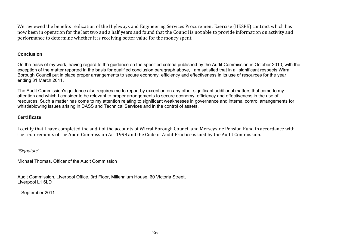We reviewed the benefits realization of the Highways and Engineering Services Procurement Exercise (HESPE) contract which has now been in operation for the last two and a half years and found that the Council is not able to provide information on activity and performance to determine whether it is receiving better value for the money spent.

#### **Conclusion**

On the basis of my work, having regard to the guidance on the specified criteria published by the Audit Commission in October 2010, with the exception of the matter reported in the basis for qualified conclusion paragraph above, I am satisfied that in all significant respects Wirral Borough Council put in place proper arrangements to secure economy, efficiency and effectiveness in its use of resources for the year ending 31 March 2011.

The Audit Commission's guidance also requires me to report by exception on any other significant additional matters that come to my attention and which I consider to be relevant to proper arrangements to secure economy, efficiency and effectiveness in the use of resources. Such a matter has come to my attention relating to significant weaknesses in governance and internal control arrangements for whistleblowing issues arising in DASS and Technical Services and in the control of assets.

#### **Certificate**

I certify that I have completed the audit of the accounts of Wirral Borough Council and Merseyside Pension Fund in accordance with the requirements of the Audit Commission Act 1998 and the Code of Audit Practice issued by the Audit Commission.

[*Signature*]

Michael Thomas, Officer of the Audit Commission

Audit Commission, Liverpool Office, 3rd Floor, Millennium House, 60 Victoria Street, Liverpool L1 6LD

September 2011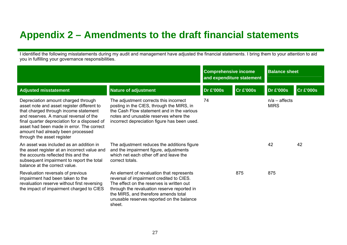### **Appendix 2 – Amendments to the draft financial statements**

I identified the following misstatements during my audit and management have adjusted the financial statements. I bring them to your attention to aid you in fulfilling your governance responsibilities.

|                                                                                                                                                                                                                                                                                                                                      |                                                                                                                                                                                                                                                                                  | <b>Comprehensive income</b><br>and expenditure statement |                  | <b>Balance sheet</b>           |                  |
|--------------------------------------------------------------------------------------------------------------------------------------------------------------------------------------------------------------------------------------------------------------------------------------------------------------------------------------|----------------------------------------------------------------------------------------------------------------------------------------------------------------------------------------------------------------------------------------------------------------------------------|----------------------------------------------------------|------------------|--------------------------------|------------------|
| <b>Adjusted misstatement</b>                                                                                                                                                                                                                                                                                                         | <b>Nature of adjustment</b>                                                                                                                                                                                                                                                      | <b>Dr £'000s</b>                                         | <b>Cr £'000s</b> | <b>Dr £'000s</b>               | <b>Cr £'000s</b> |
| Depreciation amount charged through<br>asset note and asset register different to<br>that charged through income statement<br>and reserves. A manual reversal of the<br>final quarter depreciation for a disposed of<br>asset had been made in error. The correct<br>amount had already been processed<br>through the asset register | The adjustment corrects this incorrect<br>posting in the CIES, through the MIRS, in<br>the Cash Flow statement and in the various<br>notes and unusable reserves where the<br>incorrect depreciation figure has been used.                                                       | 74                                                       |                  | $n/a$ – affects<br><b>MIRS</b> |                  |
| An asset was included as an addition in<br>the asset register at an incorrect value and<br>the accounts reflected this and the<br>subsequent impairment to report the total<br>balance at the correct value.                                                                                                                         | The adjustment reduces the additions figure<br>and the impairment figure, adjustments<br>which net each other off and leave the<br>correct totals.                                                                                                                               |                                                          |                  | 42                             | 42               |
| Revaluation reversals of previous<br>impairment had been taken to the<br>revaluation reserve without first reversing<br>the impact of impairment charged to CIES                                                                                                                                                                     | An element of revaluation that represents<br>reversal of impairment credited to CIES.<br>The effect on the reserves is written out<br>through the revaluation reserve reported in<br>the MIRS, and therefore amends total<br>unusable reserves reported on the balance<br>sheet. |                                                          | 875              | 875                            |                  |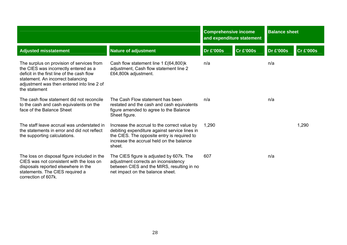|                                                                                                                                                                                                                                      |                                                                                                                                                                                                    | <b>Comprehensive income</b><br>and expenditure statement |                  | <b>Balance sheet</b> |                  |
|--------------------------------------------------------------------------------------------------------------------------------------------------------------------------------------------------------------------------------------|----------------------------------------------------------------------------------------------------------------------------------------------------------------------------------------------------|----------------------------------------------------------|------------------|----------------------|------------------|
| <b>Adjusted misstatement</b>                                                                                                                                                                                                         | <b>Nature of adjustment</b>                                                                                                                                                                        | <b>Dr £'000s</b>                                         | <b>Cr £'000s</b> | <b>Dr £'000s</b>     | <b>Cr £'000s</b> |
| The surplus on provision of services from<br>the CIES was incorrectly entered as a<br>deficit in the first line of the cash flow<br>statement. An incorrect balancing<br>adjustment was then entered into line 2 of<br>the statement | Cash flow statement line 1 £(64,800) $k$<br>adjustment, Cash flow statement line 2<br>£64,800k adjustment.                                                                                         | n/a                                                      |                  | n/a                  |                  |
| The cash flow statement did not reconcile<br>to the cash and cash equivalents on the<br>face of the Balance Sheet                                                                                                                    | The Cash Flow statement has been<br>restated and the cash and cash equivalents<br>figure amended to agree to the Balance<br>Sheet figure.                                                          | n/a                                                      |                  | n/a                  |                  |
| The staff leave accrual was understated in<br>the statements in error and did not reflect<br>the supporting calculations.                                                                                                            | Increase the accrual to the correct value by<br>debiting expenditure against service lines in<br>the CIES. The opposite entry is required to<br>increase the accrual held on the balance<br>sheet. | 1,290                                                    |                  |                      | 1,290            |
| The loss on disposal figure included in the<br>CIES was not consistent with the loss on<br>disposals reported elsewhere in the<br>statements. The CIES required a<br>correction of 607k.                                             | The CIES figure is adjusted by 607k. The<br>adjustment corrects an inconsistency<br>between CIES and the MIRS, resulting in no<br>net impact on the balance sheet.                                 | 607                                                      |                  | n/a                  |                  |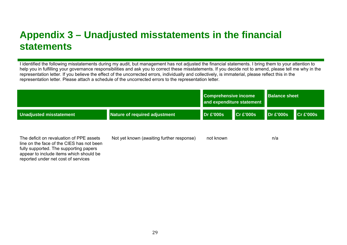### **Appendix 3 – Unadjusted misstatements in the financial statements**

I identified the following misstatements during my audit, but management has not adjusted the financial statements. I bring them to your attention to help you in fulfilling your governance responsibilities and ask you to correct these misstatements. If you decide not to amend, please tell me why in the representation letter. If you believe the effect of the uncorrected errors, individually and collectively, is immaterial, please reflect this in the representation letter. Please attach a schedule of the uncorrected errors to the representation letter.

|                                                                                                                                                                                                                   | <b>Comprehensive income</b><br>and expenditure statement |                  | <b>Balance sheet</b> |           |                         |
|-------------------------------------------------------------------------------------------------------------------------------------------------------------------------------------------------------------------|----------------------------------------------------------|------------------|----------------------|-----------|-------------------------|
| Unadjusted misstatement                                                                                                                                                                                           | Nature of required adjustment                            | <b>Dr £'000s</b> | CrE'000s             | Dr E'000s | $\overline{C}$ r £'000s |
| The deficit on revaluation of PPE assets<br>line on the face of the CIES has not been<br>fully supported. The supporting papers<br>appear to include items which should be<br>reported under net cost of services | Not yet known (awaiting further response)                | not known        |                      | n/a       |                         |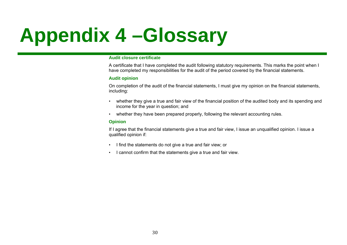## **Appendix 4 –Glossary**

#### **Audit closure certificate**

A certificate that I have completed the audit following statutory requirements. This marks the point when I have completed my responsibilities for the audit of the period covered by the financial statements.

#### **Audit opinion**

On completion of the audit of the financial statements, I must give my opinion on the financial statements, including:

- whether they give a true and fair view of the financial position of the audited body and its spending and income for the year in question; and
- whether they have been prepared properly, following the relevant accounting rules.

#### **Opinion**

If I agree that the financial statements give a true and fair view, I issue an unqualified opinion. I issue a qualified opinion if:

- I find the statements do not give a true and fair view; or
- I cannot confirm that the statements give a true and fair view.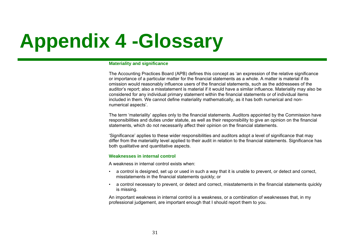## **Appendix 4 -Glossary**

#### **Materiality and significance**

The Accounting Practices Board (APB) defines this concept as 'an expression of the relative significance or importance of a particular matter for the financial statements as a whole. A matter is material if its omission would reasonably influence users of the financial statements, such as the addressees of the auditor's report; also a misstatement is material if it would have a similar influence. Materiality may also be considered for any individual primary statement within the financial statements or of individual items included in them. We cannot define materiality mathematically, as it has both numerical and nonnumerical aspects'.

The term 'materiality' applies only to the financial statements. Auditors appointed by the Commission have responsibilities and duties under statute, as well as their responsibility to give an opinion on the financial statements, which do not necessarily affect their opinion on the financial statements.

'Significance' applies to these wider responsibilities and auditors adopt a level of significance that may differ from the materiality level applied to their audit in relation to the financial statements. Significance has both qualitative and quantitative aspects.

#### **Weaknesses in internal control**

A weakness in internal control exists when:

- a control is designed, set up or used in such a way that it is unable to prevent, or detect and correct, misstatements in the financial statements quickly; or
- a control necessary to prevent, or detect and correct, misstatements in the financial statements quickly is missing.

An important weakness in internal control is a weakness, or a combination of weaknesses that, in my professional judgement, are important enough that I should report them to you.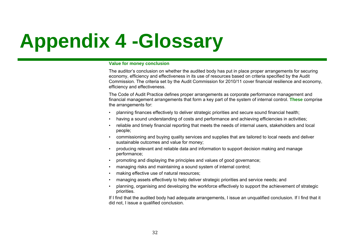## **Appendix 4 -Glossary**

#### **Value for money conclusion**

The auditor's conclusion on whether the audited body has put in place proper arrangements for securing economy, efficiency and effectiveness in its use of resources based on criteria specified by the Audit Commission. The criteria set by the Audit Commission for 2010/11 cover financial resilience and economy, efficiency and effectiveness.

The Code of Audit Practice defines proper arrangements as corporate performance management and financial management arrangements that form a key part of the system of internal control. **These** comprise the arrangements for:

- planning finances effectively to deliver strategic priorities and secure sound financial health;
- having a sound understanding of costs and performance and achieving efficiencies in activities;
- reliable and timely financial reporting that meets the needs of internal users, stakeholders and local people;
- commissioning and buying quality services and supplies that are tailored to local needs and deliver sustainable outcomes and value for money;
- producing relevant and reliable data and information to support decision making and manage performance;
- promoting and displaying the principles and values of good governance;
- managing risks and maintaining a sound system of internal control;
- making effective use of natural resources;
- managing assets effectively to help deliver strategic priorities and service needs; and
- planning, organising and developing the workforce effectively to support the achievement of strategic priorities.

If I find that the audited body had adequate arrangements, I issue an unqualified conclusion. If I find that it did not, I issue a qualified conclusion.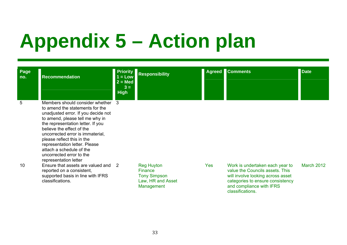## **Appendix 5 – Action plan**

| Page<br>no. | <b>Recommendation</b>                                                                                                                                                                                                                                                                                                                                                                                | <b>Priority</b><br>$1 = Low$<br>$2 = Med$<br>$3 =$<br><b>High</b> | <b>Responsibility</b>                                                                         |            | <b>Agreed Comments</b>                                                                                                                                                                      | <b>Date</b>       |
|-------------|------------------------------------------------------------------------------------------------------------------------------------------------------------------------------------------------------------------------------------------------------------------------------------------------------------------------------------------------------------------------------------------------------|-------------------------------------------------------------------|-----------------------------------------------------------------------------------------------|------------|---------------------------------------------------------------------------------------------------------------------------------------------------------------------------------------------|-------------------|
| 5           | Members should consider whether 3<br>to amend the statements for the<br>unadjusted error. If you decide not<br>to amend, please tell me why in<br>the representation letter. If you<br>believe the effect of the<br>uncorrected error is immaterial,<br>please reflect this in the<br>representation letter. Please<br>attach a schedule of the<br>uncorrected error to the<br>representation letter |                                                                   |                                                                                               |            |                                                                                                                                                                                             |                   |
| 10          | Ensure that assets are valued and 2<br>reported on a consistent,<br>supported basis in line with IFRS<br>classifications.                                                                                                                                                                                                                                                                            |                                                                   | <b>Reg Huyton</b><br><b>Finance</b><br><b>Tony Simpson</b><br>Law, HR and Asset<br>Management | <b>Yes</b> | Work is undertaken each year to<br>value the Councils assets. This<br>will involve looking across asset<br>categories to ensure consistency<br>and compliance with IFRS<br>classifications. | <b>March 2012</b> |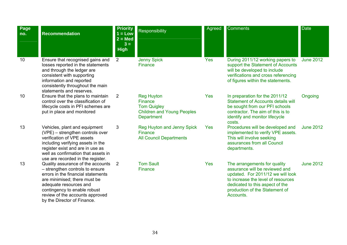| Page<br>no. | <b>Recommendation</b>                                                                                                                                                                                                                                                  | <b>Priority</b><br>$1 = Low$<br>$2 = Med$<br>$3 =$<br><b>High</b> | Responsibility                                                                                                      | Agreed     | <b>Comments</b>                                                                                                                                                                                                             | <b>Date</b>      |
|-------------|------------------------------------------------------------------------------------------------------------------------------------------------------------------------------------------------------------------------------------------------------------------------|-------------------------------------------------------------------|---------------------------------------------------------------------------------------------------------------------|------------|-----------------------------------------------------------------------------------------------------------------------------------------------------------------------------------------------------------------------------|------------------|
| 10          | Ensure that recognised gains and<br>losses reported in the statements<br>and through the ledger are<br>consistent with supporting<br>information and reported<br>consistently throughout the main<br>statements and reserves.                                          | $\overline{2}$                                                    | <b>Jenny Spick</b><br><b>Finance</b>                                                                                | <b>Yes</b> | During 2011/12 working papers to<br>support the Statement of Accounts<br>will be developed to include<br>verifications and cross referencing<br>of figures within the statements.                                           | <b>June 2012</b> |
| 10          | Ensure that the plans to maintain<br>control over the classification of<br>lifecycle costs in PFI schemes are<br>put in place and monitored                                                                                                                            | $\overline{2}$                                                    | <b>Reg Huyton</b><br><b>Finance</b><br><b>Tom Quigley</b><br><b>Children and Young Peoples</b><br><b>Department</b> | <b>Yes</b> | In preparation for the 2011/12<br><b>Statement of Accounts details will</b><br>be sought from our PFI schools<br>contractor. The aim of this is to<br>identify and monitor lifecycle<br>costs.                              | Ongoing          |
| 13          | Vehicles, plant and equipment<br>(VPE) - strengthen controls over<br>verification of VPE assets<br>including verifying assets in the<br>register exist and are in use as<br>well as confirmation that assets in<br>use are recorded in the register.                   | 3                                                                 | Reg Huyton and Jenny Spick<br>Finance<br><b>All Council Departments</b>                                             | <b>Yes</b> | Procedures will be developed and<br>implemented to verify VPE assets.<br>This will involve seeking<br>assurances from all Council<br>departments.                                                                           | <b>June 2012</b> |
| 13          | Quality assurance of the accounts<br>- strengthen controls to ensure<br>errors in the financial statements<br>are minimised; there must be<br>adequate resources and<br>contingency to enable robust<br>review of the accounts approved<br>by the Director of Finance. | 2                                                                 | <b>Tom Sault</b><br>Finance                                                                                         | <b>Yes</b> | The arrangements for quality<br>assurance will be reviewed and<br>updated. For 2011/12 we will look<br>to increase the level of resources<br>dedicated to this aspect of the<br>production of the Statement of<br>Accounts. | <b>June 2012</b> |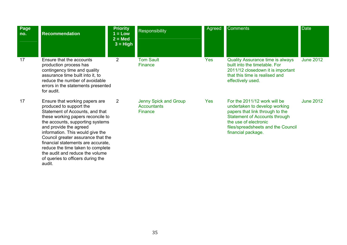| Page<br>no. | <b>Recommendation</b>                                                                                                                                                                                                                                                                                                                                | <b>Priority</b><br>$1 = Low$<br>$2 = Med$<br>$3 = High$ | Responsibility                                         | Agreed     | <b>Comments</b>                                                                                                                                                                                                               | <b>Date</b>      |
|-------------|------------------------------------------------------------------------------------------------------------------------------------------------------------------------------------------------------------------------------------------------------------------------------------------------------------------------------------------------------|---------------------------------------------------------|--------------------------------------------------------|------------|-------------------------------------------------------------------------------------------------------------------------------------------------------------------------------------------------------------------------------|------------------|
| 17          | Ensure that the accounts<br>production process has<br>contingency time and quality<br>assurance time built into it, to<br>reduce the number of avoidable<br>errors in the statements presented<br>for audit.                                                                                                                                         | $\overline{2}$                                          | <b>Tom Sault</b><br><b>Finance</b>                     | Yes        | <b>Quality Assurance time is always</b><br>built into the timetable. For<br>2011/12 closedown it is important<br>that this time is realised and<br>effectively used.                                                          | <b>June 2012</b> |
| 17          | Ensure that working papers are<br>produced to support the<br>Statement of Accounts, and that<br>these working papers reconcile to<br>the accounts, supporting systems<br>and provide the agreed<br>information. This would give the<br>Council greater assurance that the<br>financial statements are accurate,<br>reduce the time taken to complete | $\overline{2}$                                          | Jenny Spick and Group<br><b>Accountants</b><br>Finance | <b>Yes</b> | For the 2011/12 work will be<br>undertaken to develop working<br>papers that link through to the<br><b>Statement of Accounts through</b><br>the use of electronic<br>files/spreadsheets and the Council<br>financial package. | <b>June 2012</b> |

the audit and reduce the volume of queries to officers during the

audit.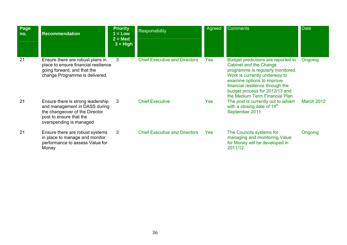| Page<br>no. | <b>Recommendation</b>                                                                                                                                      | <b>Priority</b><br>$1 = Low$<br>$2 = Med$<br>$3 = High$ | Responsibility                       | Agreed     | <b>Comments</b>                                                                                                                                                                                                                                                           | <b>Date</b> |
|-------------|------------------------------------------------------------------------------------------------------------------------------------------------------------|---------------------------------------------------------|--------------------------------------|------------|---------------------------------------------------------------------------------------------------------------------------------------------------------------------------------------------------------------------------------------------------------------------------|-------------|
| 21          | Ensure there are robust plans in<br>place to ensure financial resilience<br>going forward, and that the<br>change Programme is delivered.                  | 3                                                       | <b>Chief Executive and Directors</b> | <b>Yes</b> | Budget predictions are reported to<br>Cabinet and the Change<br>programme is regularly monitored.<br>Work is currently underway to<br>examine options to improve<br>financial resilience through the<br>budget process for 2012/13 and<br>the Medium Term Financial Plan. | Ongoing     |
| 21          | Ensure there is strong leadership<br>and management in DASS during<br>the changeover of the Director<br>post to ensure that the<br>overspending is managed | $\mathbf{3}$                                            | <b>Chief Executive</b>               | <b>Yes</b> | The post is currently out to advert<br>with a closing date of $14th$<br>September 2011.                                                                                                                                                                                   | March 2012  |
| 21          | Ensure there are robust systems<br>in place to manage and monitor<br>performance to assess Value for<br>Money                                              | 3                                                       | <b>Chief Executive and Directors</b> | <b>Yes</b> | The Councils systems for<br>managing and monitoring Value<br>for Money will be developed in<br>2011/12.                                                                                                                                                                   | Ongoing     |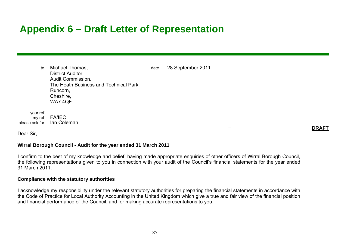### **Appendix 6 – Draft Letter of Representation**

to Michael Thomas. The Contract of the Michael Thomas, the Contract of the Michael 28 September 2011 District Auditor, Audit Commission, The Heath Business and Technical Park, Runcorn, Cheshire, WA7 4QF

 your ref my ref FA/IEC please ask for Ian Coleman

**DRAFT** 

#### Dear Sir,

#### **Wirral Borough Council - Audit for the year ended 31 March 2011**

I confirm to the best of my knowledge and belief, having made appropriate enquiries of other officers of Wirral Borough Council, the following representations given to you in connection with your audit of the Council's financial statements for the year ended 31 March 2011.

#### **Compliance with the statutory authorities**

I acknowledge my responsibility under the relevant statutory authorities for preparing the financial statements in accordance with the Code of Practice for Local Authority Accounting in the United Kingdom which give a true and fair view of the financial position and financial performance of the Council, and for making accurate representations to you.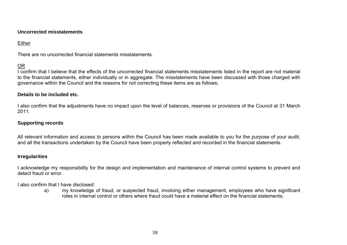#### **Uncorrected misstatements**

### Either

There are no uncorrected financial statements misstatements.

### OR

I confirm that I believe that the effects of the uncorrected financial statements misstatements listed in the report are not material to the financial statements, either individually or in aggregate. The misstatements have been discussed with those charged with governance within the Council and the reasons for not correcting these items are as follows;

#### **Details to be included etc.**

I also confirm that the adjustments have no impact upon the level of balances, reserves or provisions of the Council at 31 March 2011.

#### **Supporting records**

All relevant information and access to persons within the Council has been made available to you for the purpose of your audit, and all the transactions undertaken by the Council have been properly reflected and recorded in the financial statements.

#### **Irregularities**

I acknowledge my responsibility for the design and implementation and maintenance of internal control systems to prevent and detect fraud or error.

I also confirm that I have disclosed:

a) my knowledge of fraud, or suspected fraud, involving either management, employees who have significant roles in internal control or others where fraud could have a material effect on the financial statements;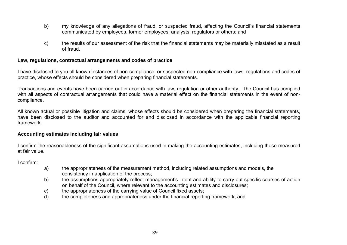- b) my knowledge of any allegations of fraud, or suspected fraud, affecting the Council's financial statements communicated by employees, former employees, analysts, regulators or others; and
- c) the results of our assessment of the risk that the financial statements may be materially misstated as a result of fraud.

#### **Law, regulations, contractual arrangements and codes of practice**

I have disclosed to you all known instances of non-compliance, or suspected non-compliance with laws, regulations and codes of practice, whose effects should be considered when preparing financial statements.

Transactions and events have been carried out in accordance with law, regulation or other authority. The Council has complied with all aspects of contractual arrangements that could have a material effect on the financial statements in the event of noncompliance.

All known actual or possible litigation and claims, whose effects should be considered when preparing the financial statements, have been disclosed to the auditor and accounted for and disclosed in accordance with the applicable financial reporting framework.

#### **Accounting estimates including fair values**

I confirm the reasonableness of the significant assumptions used in making the accounting estimates, including those measured at fair value.

I confirm:

- a) the appropriateness of the measurement method, including related assumptions and models, the consistency in application of the process;
- b) the assumptions appropriately reflect management's intent and ability to carry out specific courses of action on behalf of the Council, where relevant to the accounting estimates and disclosures;
- c) the appropriateness of the carrying value of Council fixed assets;
- d) the completeness and appropriateness under the financial reporting framework; and